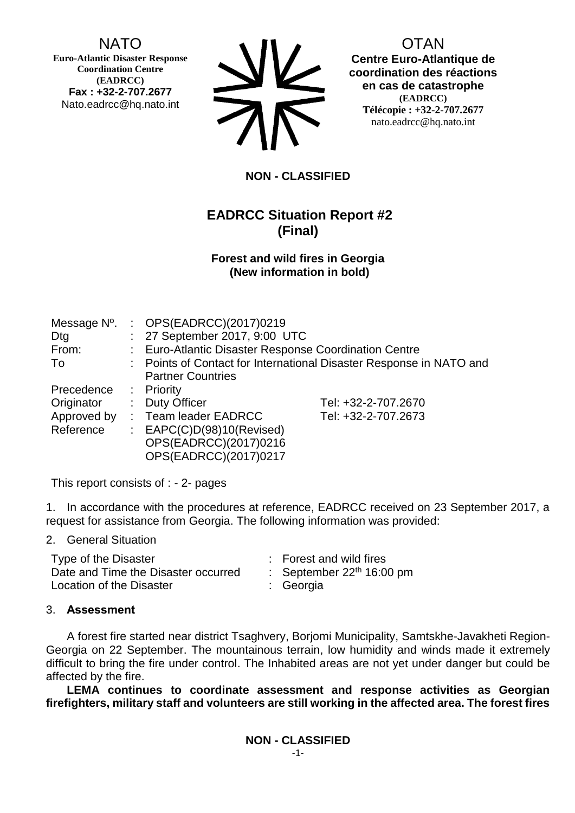## NATO

**Euro-Atlantic Disaster Response Coordination Centre (EADRCC) Fax : +32-2-707.2677** Nato.eadrcc@hq.nato.int



OTAN **Centre Euro-Atlantique de coordination des réactions en cas de catastrophe (EADRCC) Télécopie : +32-2-707.2677** nato.eadrcc@hq.nato.int

### **NON - CLASSIFIED**

# **EADRCC Situation Report #2 (Final)**

#### **Forest and wild fires in Georgia (New information in bold)**

| Message N <sup>o</sup> . |                                                                     | : OPS(EADRCC)(2017)0219                               |                     |  |
|--------------------------|---------------------------------------------------------------------|-------------------------------------------------------|---------------------|--|
| Dtg                      |                                                                     | : 27 September 2017, 9:00 UTC                         |                     |  |
| From:                    |                                                                     | : Euro-Atlantic Disaster Response Coordination Centre |                     |  |
| To                       | : Points of Contact for International Disaster Response in NATO and |                                                       |                     |  |
|                          |                                                                     | <b>Partner Countries</b>                              |                     |  |
| Precedence               |                                                                     | : Priority                                            |                     |  |
| Originator               | t.                                                                  | <b>Duty Officer</b>                                   | Tel: +32-2-707.2670 |  |
| Approved by              |                                                                     | : Team leader EADRCC                                  | Tel: +32-2-707.2673 |  |
| Reference                | ÷.                                                                  | EAPC(C)D(98)10(Revised)                               |                     |  |
|                          |                                                                     | OPS(EADRCC)(2017)0216                                 |                     |  |
|                          |                                                                     | OPS(EADRCC)(2017)0217                                 |                     |  |

This report consists of : - 2- pages

1. In accordance with the procedures at reference, EADRCC received on 23 September 2017, a request for assistance from Georgia. The following information was provided:

2. General Situation

| Type of the Disaster                | : Forest and wild fires     |
|-------------------------------------|-----------------------------|
| Date and Time the Disaster occurred | : September $22th 16:00$ pm |
| Location of the Disaster            | : Georgia                   |

### 3. **Assessment**

A forest fire started near district Tsaghvery, Borjomi Municipality, Samtskhe-Javakheti Region-Georgia on 22 September. The mountainous terrain, low humidity and winds made it extremely difficult to bring the fire under control. The Inhabited areas are not yet under danger but could be affected by the fire.

**LEMA continues to coordinate assessment and response activities as Georgian firefighters, military staff and volunteers are still working in the affected area. The forest fires**